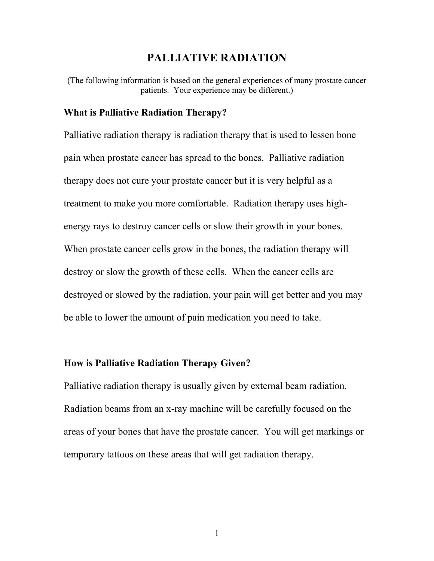# **PALLIATIVE RADIATION**

(The following information is based on the general experiences of many prostate cancer patients. Your experience may be different.)

### **What is Palliative Radiation Therapy?**

Palliative radiation therapy is radiation therapy that is used to lessen bone pain when prostate cancer has spread to the bones. Palliative radiation therapy does not cure your prostate cancer but it is very helpful as a treatment to make you more comfortable. Radiation therapy uses highenergy rays to destroy cancer cells or slow their growth in your bones. When prostate cancer cells grow in the bones, the radiation therapy will destroy or slow the growth of these cells. When the cancer cells are destroyed or slowed by the radiation, your pain will get better and you may be able to lower the amount of pain medication you need to take.

## **How is Palliative Radiation Therapy Given?**

Palliative radiation therapy is usually given by external beam radiation. Radiation beams from an x-ray machine will be carefully focused on the areas of your bones that have the prostate cancer. You will get markings or temporary tattoos on these areas that will get radiation therapy.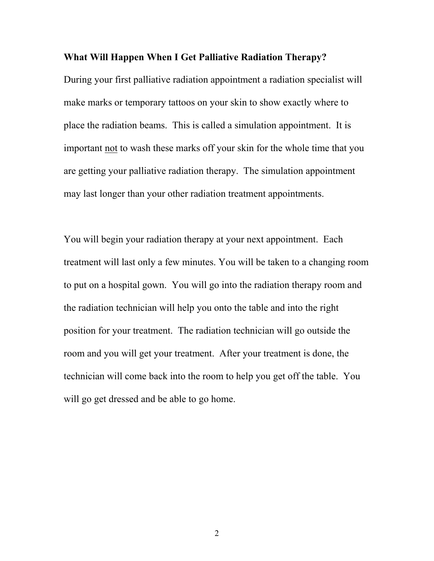## **What Will Happen When I Get Palliative Radiation Therapy?**

During your first palliative radiation appointment a radiation specialist will make marks or temporary tattoos on your skin to show exactly where to place the radiation beams. This is called a simulation appointment. It is important not to wash these marks off your skin for the whole time that you are getting your palliative radiation therapy. The simulation appointment may last longer than your other radiation treatment appointments.

You will begin your radiation therapy at your next appointment. Each treatment will last only a few minutes. You will be taken to a changing room to put on a hospital gown. You will go into the radiation therapy room and the radiation technician will help you onto the table and into the right position for your treatment. The radiation technician will go outside the room and you will get your treatment. After your treatment is done, the technician will come back into the room to help you get off the table. You will go get dressed and be able to go home.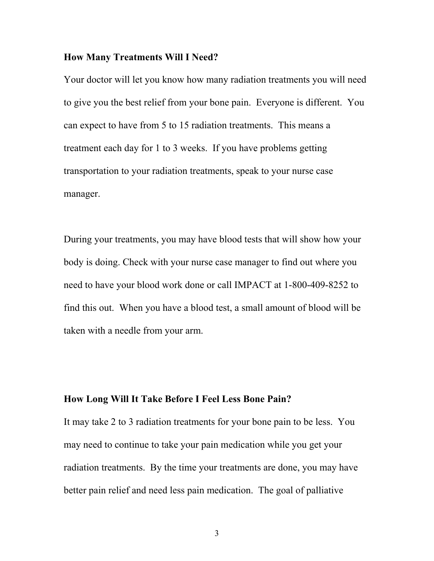#### **How Many Treatments Will I Need?**

Your doctor will let you know how many radiation treatments you will need to give you the best relief from your bone pain. Everyone is different. You can expect to have from 5 to 15 radiation treatments. This means a treatment each day for 1 to 3 weeks. If you have problems getting transportation to your radiation treatments, speak to your nurse case manager.

During your treatments, you may have blood tests that will show how your body is doing. Check with your nurse case manager to find out where you need to have your blood work done or call IMPACT at 1-800-409-8252 to find this out. When you have a blood test, a small amount of blood will be taken with a needle from your arm.

## **How Long Will It Take Before I Feel Less Bone Pain?**

It may take 2 to 3 radiation treatments for your bone pain to be less. You may need to continue to take your pain medication while you get your radiation treatments. By the time your treatments are done, you may have better pain relief and need less pain medication. The goal of palliative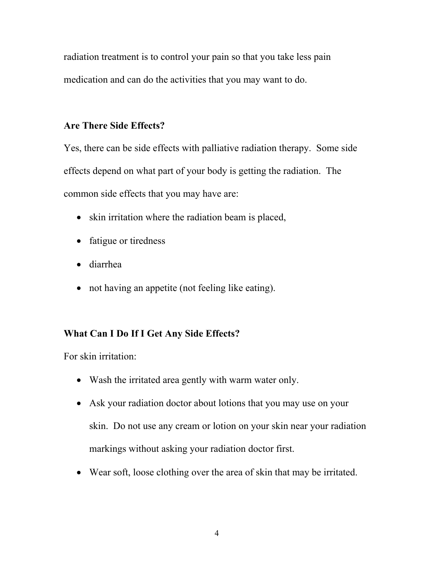radiation treatment is to control your pain so that you take less pain medication and can do the activities that you may want to do.

## **Are There Side Effects?**

Yes, there can be side effects with palliative radiation therapy. Some side effects depend on what part of your body is getting the radiation. The common side effects that you may have are:

- skin irritation where the radiation beam is placed,
- fatigue or tiredness
- diarrhea
- not having an appetite (not feeling like eating).

# **What Can I Do If I Get Any Side Effects?**

For skin irritation:

- Wash the irritated area gently with warm water only.
- Ask your radiation doctor about lotions that you may use on your skin. Do not use any cream or lotion on your skin near your radiation markings without asking your radiation doctor first.
- Wear soft, loose clothing over the area of skin that may be irritated.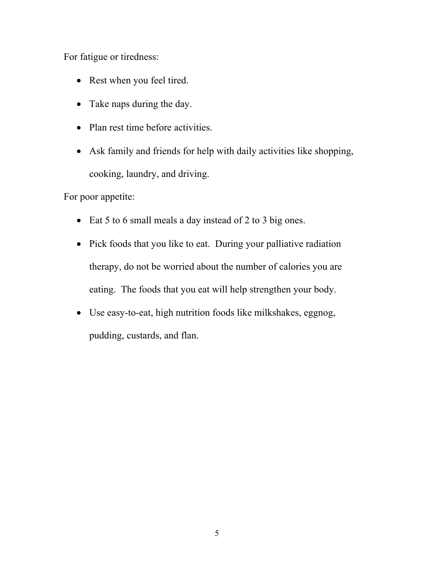For fatigue or tiredness:

- Rest when you feel tired.
- Take naps during the day.
- Plan rest time before activities.
- Ask family and friends for help with daily activities like shopping, cooking, laundry, and driving.

For poor appetite:

- Eat 5 to 6 small meals a day instead of 2 to 3 big ones.
- Pick foods that you like to eat. During your palliative radiation therapy, do not be worried about the number of calories you are eating. The foods that you eat will help strengthen your body.
- Use easy-to-eat, high nutrition foods like milkshakes, eggnog, pudding, custards, and flan.